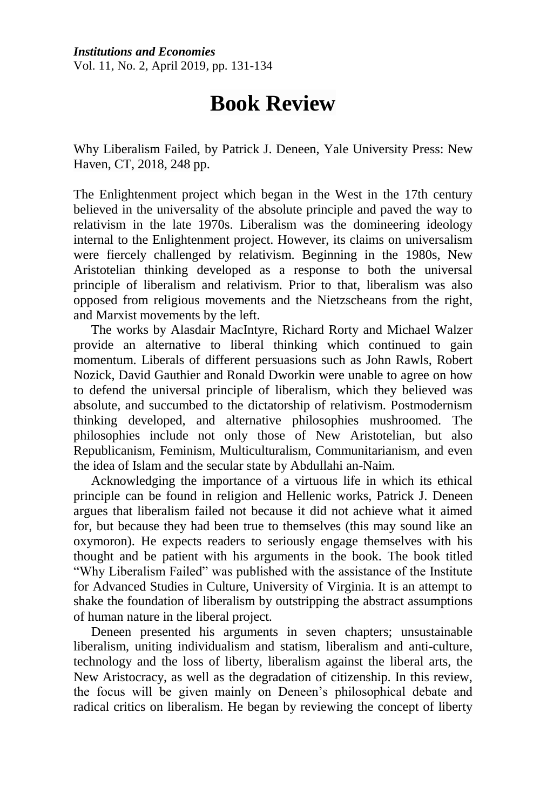*Institutions and Economies* Vol. 11, No. 2, April 2019, pp. 131-134

## **Book Review**

Why Liberalism Failed, by Patrick J. Deneen, Yale University Press: New Haven, CT, 2018, 248 pp.

The Enlightenment project which began in the West in the 17th century believed in the universality of the absolute principle and paved the way to relativism in the late 1970s. Liberalism was the domineering ideology internal to the Enlightenment project. However, its claims on universalism were fiercely challenged by relativism. Beginning in the 1980s, New Aristotelian thinking developed as a response to both the universal principle of liberalism and relativism. Prior to that, liberalism was also opposed from religious movements and the Nietzscheans from the right, and Marxist movements by the left.

The works by Alasdair MacIntyre, Richard Rorty and Michael Walzer provide an alternative to liberal thinking which continued to gain momentum. Liberals of different persuasions such as John Rawls, Robert Nozick, David Gauthier and Ronald Dworkin were unable to agree on how to defend the universal principle of liberalism, which they believed was absolute, and succumbed to the dictatorship of relativism. Postmodernism thinking developed, and alternative philosophies mushroomed. The philosophies include not only those of New Aristotelian, but also Republicanism, Feminism, Multiculturalism, Communitarianism, and even the idea of Islam and the secular state by Abdullahi an-Naim.

Acknowledging the importance of a virtuous life in which its ethical principle can be found in religion and Hellenic works, Patrick J. Deneen argues that liberalism failed not because it did not achieve what it aimed for, but because they had been true to themselves (this may sound like an oxymoron). He expects readers to seriously engage themselves with his thought and be patient with his arguments in the book. The book titled "Why Liberalism Failed" was published with the assistance of the Institute for Advanced Studies in Culture, University of Virginia. It is an attempt to shake the foundation of liberalism by outstripping the abstract assumptions of human nature in the liberal project.

Deneen presented his arguments in seven chapters; unsustainable liberalism, uniting individualism and statism, liberalism and anti-culture, technology and the loss of liberty, liberalism against the liberal arts, the New Aristocracy, as well as the degradation of citizenship. In this review, the focus will be given mainly on Deneen's philosophical debate and radical critics on liberalism. He began by reviewing the concept of liberty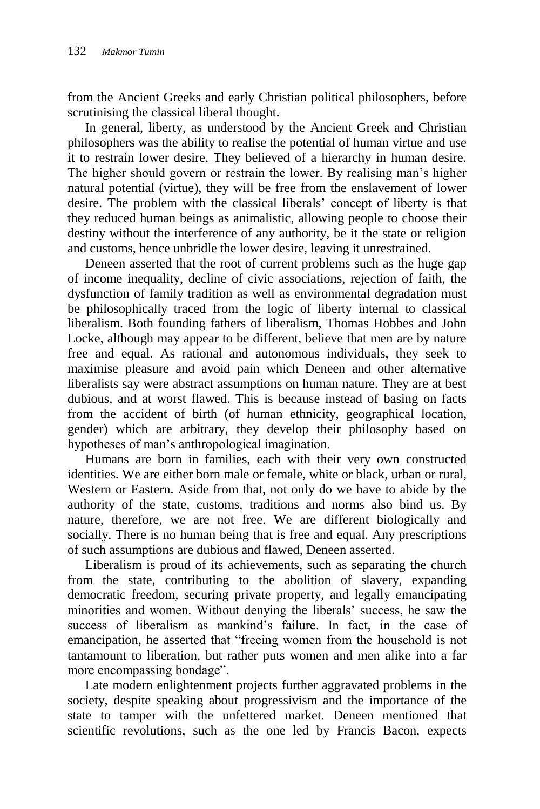from the Ancient Greeks and early Christian political philosophers, before scrutinising the classical liberal thought.

In general, liberty, as understood by the Ancient Greek and Christian philosophers was the ability to realise the potential of human virtue and use it to restrain lower desire. They believed of a hierarchy in human desire. The higher should govern or restrain the lower. By realising man's higher natural potential (virtue), they will be free from the enslavement of lower desire. The problem with the classical liberals' concept of liberty is that they reduced human beings as animalistic, allowing people to choose their destiny without the interference of any authority, be it the state or religion and customs, hence unbridle the lower desire, leaving it unrestrained.

Deneen asserted that the root of current problems such as the huge gap of income inequality, decline of civic associations, rejection of faith, the dysfunction of family tradition as well as environmental degradation must be philosophically traced from the logic of liberty internal to classical liberalism. Both founding fathers of liberalism, Thomas Hobbes and John Locke, although may appear to be different, believe that men are by nature free and equal. As rational and autonomous individuals, they seek to maximise pleasure and avoid pain which Deneen and other alternative liberalists say were abstract assumptions on human nature. They are at best dubious, and at worst flawed. This is because instead of basing on facts from the accident of birth (of human ethnicity, geographical location, gender) which are arbitrary, they develop their philosophy based on hypotheses of man's anthropological imagination.

Humans are born in families, each with their very own constructed identities. We are either born male or female, white or black, urban or rural, Western or Eastern. Aside from that, not only do we have to abide by the authority of the state, customs, traditions and norms also bind us. By nature, therefore, we are not free. We are different biologically and socially. There is no human being that is free and equal. Any prescriptions of such assumptions are dubious and flawed, Deneen asserted.

Liberalism is proud of its achievements, such as separating the church from the state, contributing to the abolition of slavery, expanding democratic freedom, securing private property, and legally emancipating minorities and women. Without denying the liberals' success, he saw the success of liberalism as mankind's failure. In fact, in the case of emancipation, he asserted that "freeing women from the household is not tantamount to liberation, but rather puts women and men alike into a far more encompassing bondage".

Late modern enlightenment projects further aggravated problems in the society, despite speaking about progressivism and the importance of the state to tamper with the unfettered market. Deneen mentioned that scientific revolutions, such as the one led by Francis Bacon, expects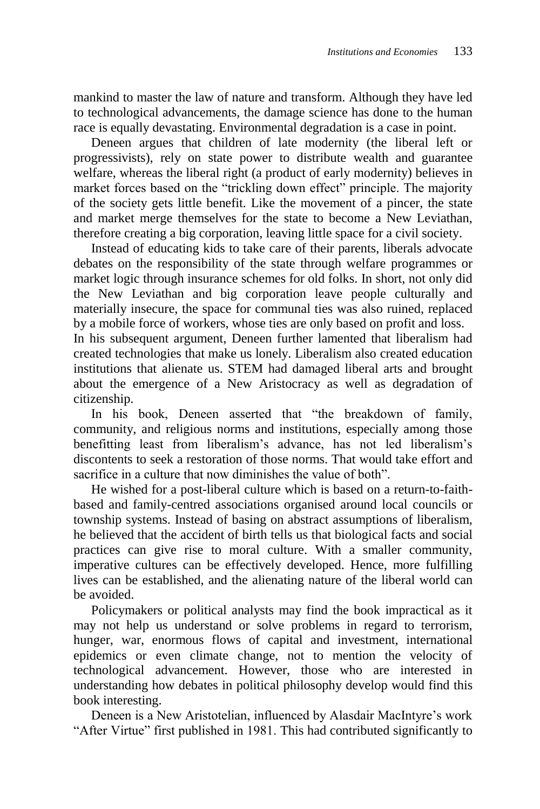mankind to master the law of nature and transform. Although they have led to technological advancements, the damage science has done to the human race is equally devastating. Environmental degradation is a case in point.

Deneen argues that children of late modernity (the liberal left or progressivists), rely on state power to distribute wealth and guarantee welfare, whereas the liberal right (a product of early modernity) believes in market forces based on the "trickling down effect" principle. The majority of the society gets little benefit. Like the movement of a pincer, the state and market merge themselves for the state to become a New Leviathan, therefore creating a big corporation, leaving little space for a civil society.

Instead of educating kids to take care of their parents, liberals advocate debates on the responsibility of the state through welfare programmes or market logic through insurance schemes for old folks. In short, not only did the New Leviathan and big corporation leave people culturally and materially insecure, the space for communal ties was also ruined, replaced by a mobile force of workers, whose ties are only based on profit and loss.

In his subsequent argument, Deneen further lamented that liberalism had created technologies that make us lonely. Liberalism also created education institutions that alienate us. STEM had damaged liberal arts and brought about the emergence of a New Aristocracy as well as degradation of citizenship.

In his book, Deneen asserted that "the breakdown of family, community, and religious norms and institutions, especially among those benefitting least from liberalism's advance, has not led liberalism's discontents to seek a restoration of those norms. That would take effort and sacrifice in a culture that now diminishes the value of both".

He wished for a post-liberal culture which is based on a return-to-faithbased and family-centred associations organised around local councils or township systems. Instead of basing on abstract assumptions of liberalism, he believed that the accident of birth tells us that biological facts and social practices can give rise to moral culture. With a smaller community, imperative cultures can be effectively developed. Hence, more fulfilling lives can be established, and the alienating nature of the liberal world can be avoided.

Policymakers or political analysts may find the book impractical as it may not help us understand or solve problems in regard to terrorism, hunger, war, enormous flows of capital and investment, international epidemics or even climate change, not to mention the velocity of technological advancement. However, those who are interested in understanding how debates in political philosophy develop would find this book interesting.

Deneen is a New Aristotelian, influenced by Alasdair MacIntyre's work "After Virtue" first published in 1981. This had contributed significantly to